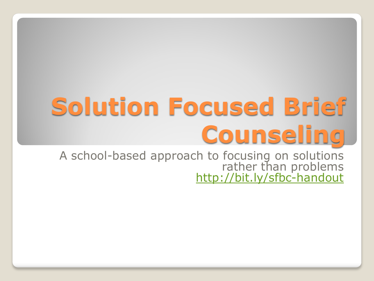# **Solution Focused Brief Counseling**

A school-based approach to focusing on solutions rather than problems <http://bit.ly/sfbc-handout>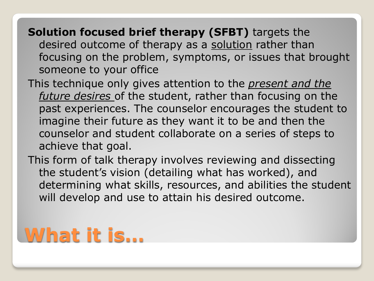- **Solution focused brief therapy (SFBT)** targets the desired outcome of therapy as a solution rather than focusing on the problem, symptoms, or issues that brought someone to your office
- This technique only gives attention to the *present and the future desires* of the student, rather than focusing on the past experiences. The counselor encourages the student to imagine their future as they want it to be and then the counselor and student collaborate on a series of steps to achieve that goal.
- This form of talk therapy involves reviewing and dissecting the student's vision (detailing what has worked), and determining what skills, resources, and abilities the student will develop and use to attain his desired outcome.

### **What it is…**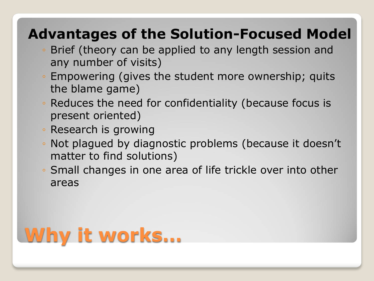#### **Advantages of the Solution-Focused Model**

- Brief (theory can be applied to any length session and any number of visits)
- Empowering (gives the student more ownership; quits the blame game)
- Reduces the need for confidentiality (because focus is present oriented)
- Research is growing
- Not plagued by diagnostic problems (because it doesn't matter to find solutions)
- Small changes in one area of life trickle over into other areas

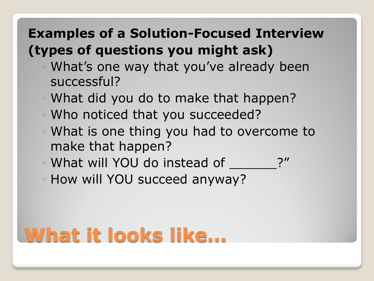#### **Examples of a Solution-Focused Interview (types of questions you might ask)**

- What's one way that you've already been successful?
- What did you do to make that happen?
- Who noticed that you succeeded?
- What is one thing you had to overcome to make that happen?
- What will YOU do instead of
- How will YOU succeed anyway?

### **What it looks like…**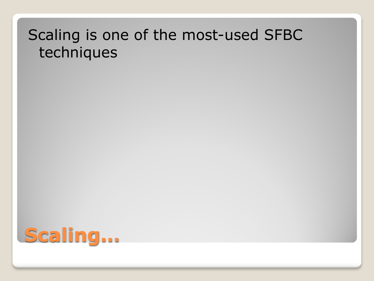#### Scaling is one of the most-used SFBC techniques

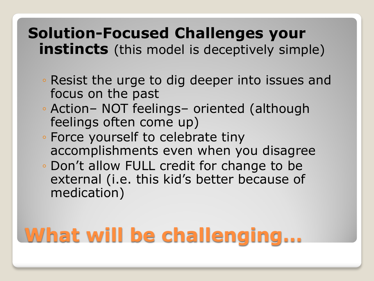#### **Solution-Focused Challenges your instincts** (this model is deceptively simple)

- Resist the urge to dig deeper into issues and focus on the past
- Action– NOT feelings– oriented (although feelings often come up)
- Force yourself to celebrate tiny accomplishments even when you disagree
- Don't allow FULL credit for change to be external (i.e. this kid's better because of medication)

## **What will be challenging…**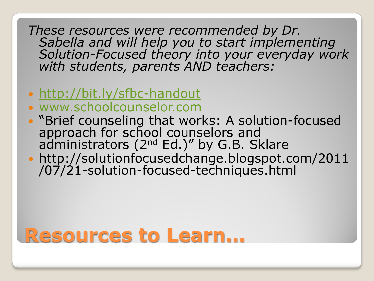*These resources were recommended by Dr. Sabella and will help you to start implementing Solution-Focused theory into your everyday work with students, parents AND teachers:*

- <http://bit.ly/sfbc-handout>
- [www.schoolcounselor.com](http://www.schoolcounselor.com/)
- "Brief counseling that works: A solution-focused approach for school counselors and administrators (2<sup>nd</sup> Ed.)" by G.B. Sklare
- http://solutionfocusedchange.blogspot.com/2011 /07/21-solution-focused-techniques.html

### **Resources to Learn…**